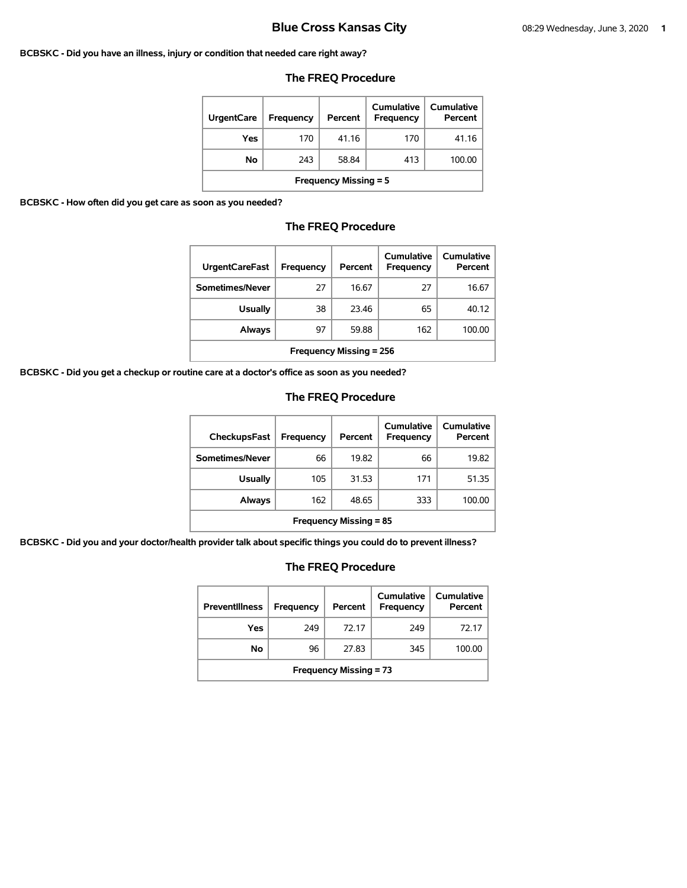### **BCBSKC - Did you have an illness, injury or condition that needed care right away?**

# **The FREQ Procedure**

| <b>UrgentCare</b>            | <b>Frequency</b> | Percent | Cumulative<br>Frequency | Cumulative<br>Percent |  |
|------------------------------|------------------|---------|-------------------------|-----------------------|--|
| Yes                          | 170              | 41.16   | 170                     | 41.16                 |  |
| No                           | 243              | 58.84   | 413                     | 100.00                |  |
| <b>Frequency Missing = 5</b> |                  |         |                         |                       |  |

**BCBSKC - How often did you get care as soon as you needed?** 

# **The FREQ Procedure**

| <b>UrgentCareFast</b>          | Frequency | Percent | Cumulative<br><b>Frequency</b> | Cumulative<br>Percent |
|--------------------------------|-----------|---------|--------------------------------|-----------------------|
| Sometimes/Never                | 27        | 16.67   | 27                             | 16.67                 |
| <b>Usually</b>                 | 38        | 23.46   | 65                             | 40.12                 |
| Always                         | 97        | 59.88   | 162                            | 100.00                |
| <b>Frequency Missing = 256</b> |           |         |                                |                       |

**BCBSKC - Did you get a checkup or routine care at a doctor's office as soon as you needed?** 

# **The FREQ Procedure**

| <b>CheckupsFast</b>           | Frequency | Percent | Cumulative<br>Frequency | Cumulative<br>Percent |
|-------------------------------|-----------|---------|-------------------------|-----------------------|
| Sometimes/Never               | 66        | 19.82   | 66                      | 19.82                 |
| <b>Usually</b>                | 105       | 31.53   | 171                     | 51.35                 |
| Always                        | 162       | 48.65   | 333                     | 100.00                |
| <b>Frequency Missing = 85</b> |           |         |                         |                       |

**BCBSKC - Did you and your doctor/health provider talk about specific things you could do to prevent illness?** 

| <b>Preventillness</b>         | Frequency | Percent | Cumulative<br><b>Frequency</b> | Cumulative<br>Percent |  |
|-------------------------------|-----------|---------|--------------------------------|-----------------------|--|
| Yes                           | 249       | 72.17   | 249                            | 72.17                 |  |
| No                            | 96        | 27.83   | 345                            | 100.00                |  |
| <b>Frequency Missing = 73</b> |           |         |                                |                       |  |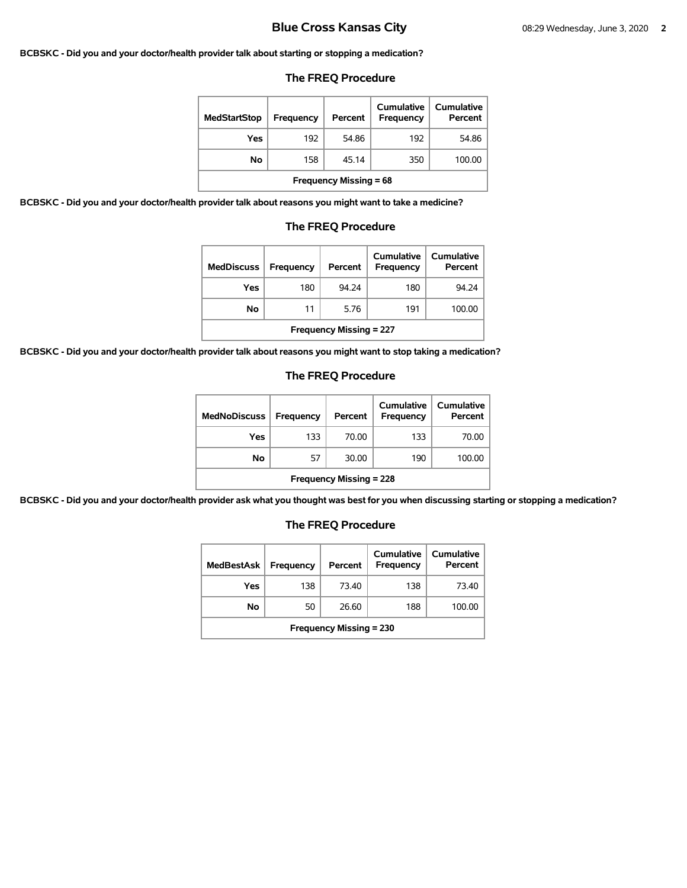### **BCBSKC - Did you and your doctor/health provider talk about starting or stopping a medication?**

### **The FREQ Procedure**

| <b>MedStartStop</b>           | Frequency | Percent | Cumulative<br>Frequency | Cumulative<br>Percent |  |
|-------------------------------|-----------|---------|-------------------------|-----------------------|--|
| Yes                           | 192       | 54.86   | 192                     | 54.86                 |  |
| No.                           | 158       | 45.14   | 350                     | 100.00                |  |
| <b>Frequency Missing = 68</b> |           |         |                         |                       |  |

**BCBSKC - Did you and your doctor/health provider talk about reasons you might want to take a medicine?** 

### **The FREQ Procedure**

| <b>MedDiscuss</b>              | Frequency | Percent | Cumulative<br>Frequency | <b>Cumulative</b><br>Percent |  |
|--------------------------------|-----------|---------|-------------------------|------------------------------|--|
| Yes                            | 180       | 94.24   | 180                     | 94.24                        |  |
| <b>No</b>                      | 11        | 5.76    | 191                     | 100.00                       |  |
| <b>Frequency Missing = 227</b> |           |         |                         |                              |  |

**BCBSKC - Did you and your doctor/health provider talk about reasons you might want to stop taking a medication?** 

### **The FREQ Procedure**

| <b>MedNoDiscuss</b>            | <b>Frequency</b> | Percent | <b>Cumulative</b><br>Frequency | <b>Cumulative</b><br>Percent |
|--------------------------------|------------------|---------|--------------------------------|------------------------------|
| Yes                            | 133              | 70.00   | 133                            | 70.00                        |
| No                             | 57               | 30.00   | 190                            | 100.00                       |
| <b>Frequency Missing = 228</b> |                  |         |                                |                              |

**BCBSKC - Did you and your doctor/health provider ask what you thought was best for you when discussing starting or stopping a medication?** 

| MedBestAsk                     | Frequency | Percent | Cumulative<br>Frequency | Cumulative<br>Percent |  |
|--------------------------------|-----------|---------|-------------------------|-----------------------|--|
| Yes                            | 138       | 73.40   | 138                     | 73.40                 |  |
| No                             | 50        | 26.60   | 188                     | 100.00                |  |
| <b>Frequency Missing = 230</b> |           |         |                         |                       |  |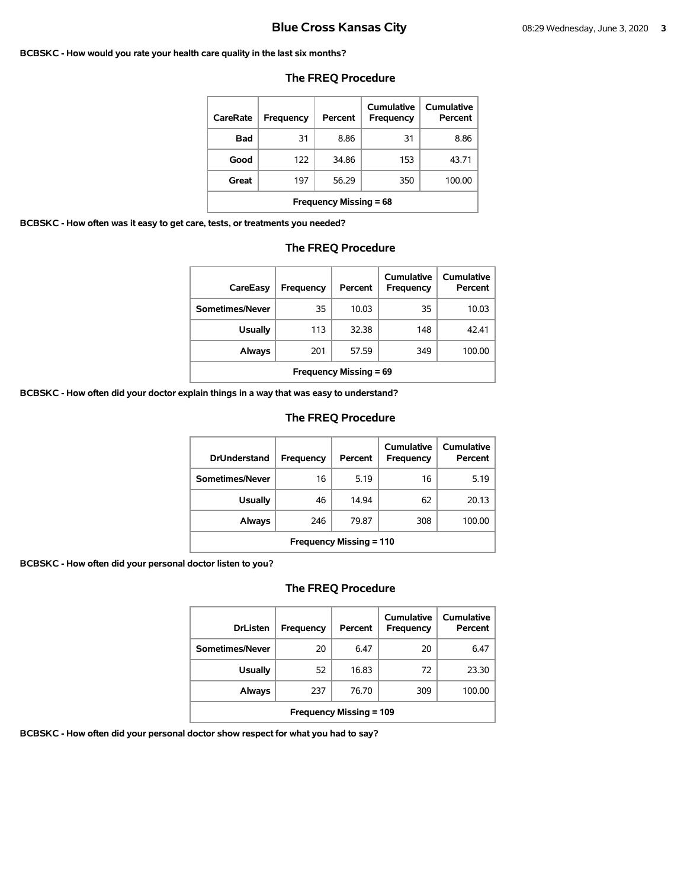### **BCBSKC - How would you rate your health care quality in the last six months?**

| CareRate                      | Frequency | Percent | Cumulative<br>Frequency | Cumulative<br>Percent |  |
|-------------------------------|-----------|---------|-------------------------|-----------------------|--|
| Bad                           | 31        | 8.86    | 31                      | 8.86                  |  |
| Good                          | 122       | 34.86   | 153                     | 43.71                 |  |
| Great                         | 197       | 56.29   | 350                     | 100.00                |  |
| <b>Frequency Missing = 68</b> |           |         |                         |                       |  |

### **The FREQ Procedure**

**BCBSKC - How often was it easy to get care, tests, or treatments you needed?** 

### **The FREQ Procedure**

| CareEasy                      | Frequency | Percent | Cumulative<br>Frequency | Cumulative<br>Percent |
|-------------------------------|-----------|---------|-------------------------|-----------------------|
| Sometimes/Never               | 35        | 10.03   | 35                      | 10.03                 |
| <b>Usually</b>                | 113       | 32.38   | 148                     | 42.41                 |
| Always                        | 201       | 57.59   | 349                     | 100.00                |
| <b>Frequency Missing = 69</b> |           |         |                         |                       |

**BCBSKC - How often did your doctor explain things in a way that was easy to understand?** 

# **The FREQ Procedure**

| <b>DrUnderstand</b>            | Frequency | Percent | Cumulative<br>Frequency | Cumulative<br>Percent |
|--------------------------------|-----------|---------|-------------------------|-----------------------|
| Sometimes/Never                | 16        | 5.19    | 16                      | 5.19                  |
| <b>Usually</b>                 | 46        | 14.94   | 62                      | 20.13                 |
| Always                         | 246       | 79.87   | 308                     | 100.00                |
| <b>Frequency Missing = 110</b> |           |         |                         |                       |

**BCBSKC - How often did your personal doctor listen to you?** 

# **The FREQ Procedure**

| <b>DrListen</b>                | Frequency | Percent | Cumulative<br>Frequency | Cumulative<br>Percent |  |
|--------------------------------|-----------|---------|-------------------------|-----------------------|--|
| Sometimes/Never                | 20        | 6.47    | 20                      | 6.47                  |  |
| <b>Usually</b>                 | 52        | 16.83   | 72                      | 23.30                 |  |
| Always                         | 237       | 76.70   | 309                     | 100.00                |  |
| <b>Frequency Missing = 109</b> |           |         |                         |                       |  |

**BCBSKC - How often did your personal doctor show respect for what you had to say?**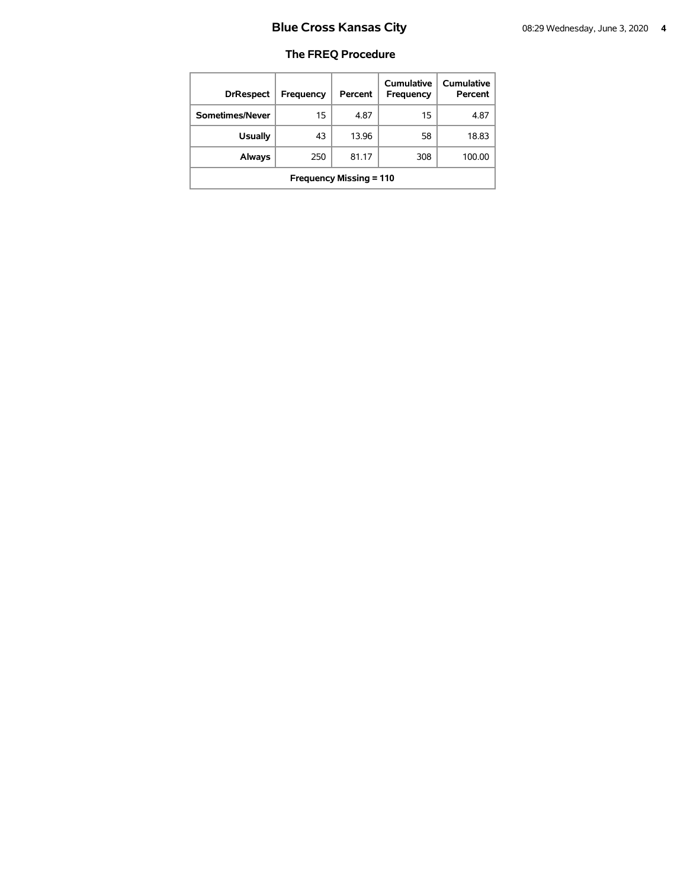| <b>DrRespect</b>               | Frequency | Percent | Cumulative<br>Frequency | Cumulative<br>Percent |  |
|--------------------------------|-----------|---------|-------------------------|-----------------------|--|
| Sometimes/Never                | 15        | 4.87    | 15                      | 4.87                  |  |
| <b>Usually</b>                 | 43        | 13.96   | 58                      | 18.83                 |  |
| Always                         | 250       | 81.17   | 308                     | 100.00                |  |
| <b>Frequency Missing = 110</b> |           |         |                         |                       |  |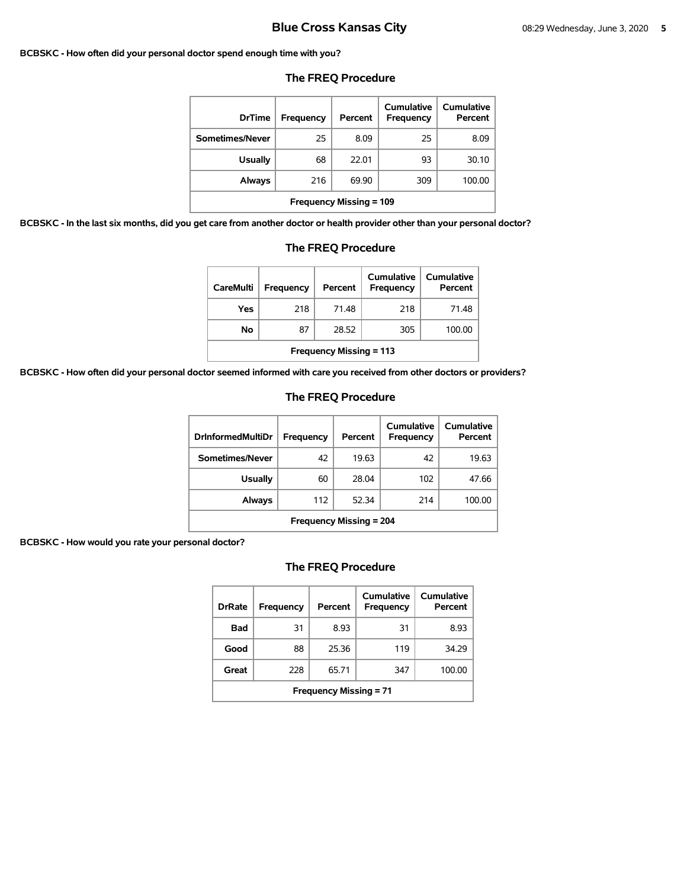### **BCBSKC - How often did your personal doctor spend enough time with you?**

| <b>DrTime</b>                  | Frequency | Percent | Cumulative<br>Frequency | Cumulative<br>Percent |  |
|--------------------------------|-----------|---------|-------------------------|-----------------------|--|
| Sometimes/Never                | 25        | 8.09    | 25                      | 8.09                  |  |
| <b>Usually</b>                 | 68        | 22.01   | 93                      | 30.10                 |  |
| Always                         | 216       | 69.90   | 309                     | 100.00                |  |
| <b>Frequency Missing = 109</b> |           |         |                         |                       |  |

## **The FREQ Procedure**

**BCBSKC - In the last six months, did you get care from another doctor or health provider other than your personal doctor?** 

| <b>The FREQ Procedure</b>                                                                                  |     |       |     |        |  |  |
|------------------------------------------------------------------------------------------------------------|-----|-------|-----|--------|--|--|
| Cumulative<br>Cumulative<br><b>CareMulti</b><br><b>Frequency</b><br>Percent<br><b>Frequency</b><br>Percent |     |       |     |        |  |  |
| Yes                                                                                                        | 218 | 71.48 | 218 | 71.48  |  |  |
| No                                                                                                         | 87  | 28.52 | 305 | 100.00 |  |  |
| <b>Frequency Missing = 113</b>                                                                             |     |       |     |        |  |  |

**BCBSKC - How often did your personal doctor seemed informed with care you received from other doctors or providers?** 

### **The FREQ Procedure**

| <b>DrInformedMultiDr</b>       | Frequency | Percent | Cumulative<br><b>Frequency</b> | Cumulative<br>Percent |  |
|--------------------------------|-----------|---------|--------------------------------|-----------------------|--|
| Sometimes/Never                | 42        | 19.63   | 42                             | 19.63                 |  |
| Usually                        | 60        | 28.04   | 102                            | 47.66                 |  |
| Always                         | 112       | 52.34   | 214                            | 100.00                |  |
| <b>Frequency Missing = 204</b> |           |         |                                |                       |  |

### **BCBSKC - How would you rate your personal doctor?**

| <b>DrRate</b>                 | Frequency | Percent | Cumulative<br><b>Frequency</b> | Cumulative<br>Percent |  |  |
|-------------------------------|-----------|---------|--------------------------------|-----------------------|--|--|
| <b>Bad</b>                    | 31        | 8.93    | 31                             | 8.93                  |  |  |
| Good                          | 88        | 25.36   | 119                            | 34.29                 |  |  |
| Great                         | 228       | 65.71   | 347                            | 100.00                |  |  |
| <b>Frequency Missing = 71</b> |           |         |                                |                       |  |  |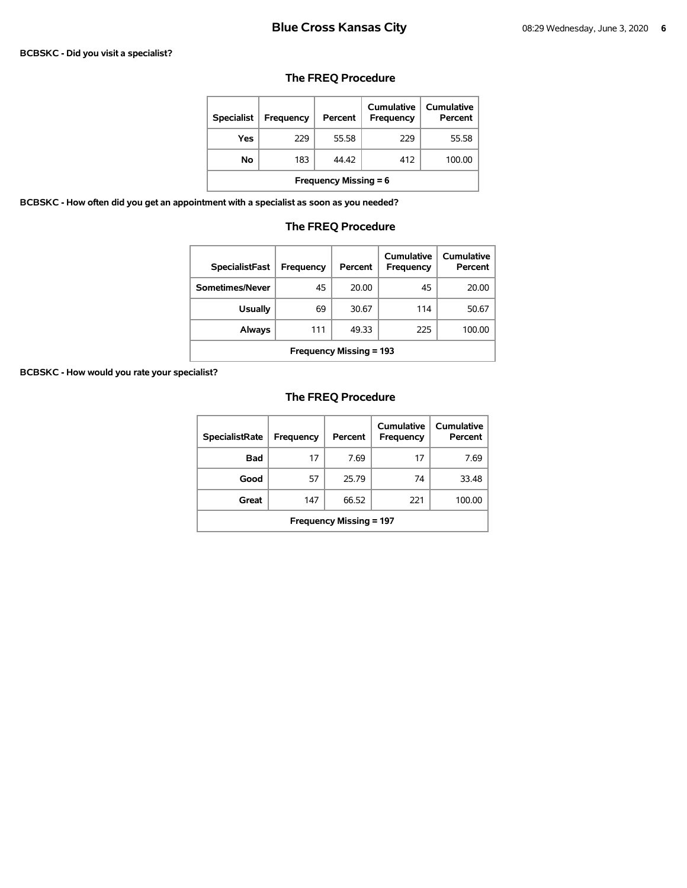### **BCBSKC - Did you visit a specialist?**

# **The FREQ Procedure**

| <b>Specialist</b>            | <b>Frequency</b> | Percent | Cumulative<br><b>Frequency</b> | Cumulative<br>Percent |  |
|------------------------------|------------------|---------|--------------------------------|-----------------------|--|
| Yes                          | 229              | 55.58   | 229                            | 55.58                 |  |
| No                           | 183              | 44.42   | 412                            | 100.00                |  |
| <b>Frequency Missing = 6</b> |                  |         |                                |                       |  |

**BCBSKC - How often did you get an appointment with a specialist as soon as you needed?** 

# **The FREQ Procedure**

| <b>SpecialistFast</b>          | Frequency | Percent | Cumulative<br>Frequency | Cumulative<br>Percent |  |
|--------------------------------|-----------|---------|-------------------------|-----------------------|--|
| Sometimes/Never                | 45        | 20.00   | 45                      | 20.00                 |  |
| <b>Usually</b>                 | 69        | 30.67   | 114                     | 50.67                 |  |
| Always                         | 111       | 49.33   | 225                     | 100.00                |  |
| <b>Frequency Missing = 193</b> |           |         |                         |                       |  |

**BCBSKC - How would you rate your specialist?** 

| <b>SpecialistRate</b>          | <b>Frequency</b> | Percent | Cumulative<br><b>Frequency</b> | Cumulative<br>Percent |  |
|--------------------------------|------------------|---------|--------------------------------|-----------------------|--|
| <b>Bad</b>                     | 17               | 7.69    | 17                             | 7.69                  |  |
| Good                           | 57               | 25.79   | 74                             | 33.48                 |  |
| Great                          | 147              | 66.52   | 221                            | 100.00                |  |
| <b>Frequency Missing = 197</b> |                  |         |                                |                       |  |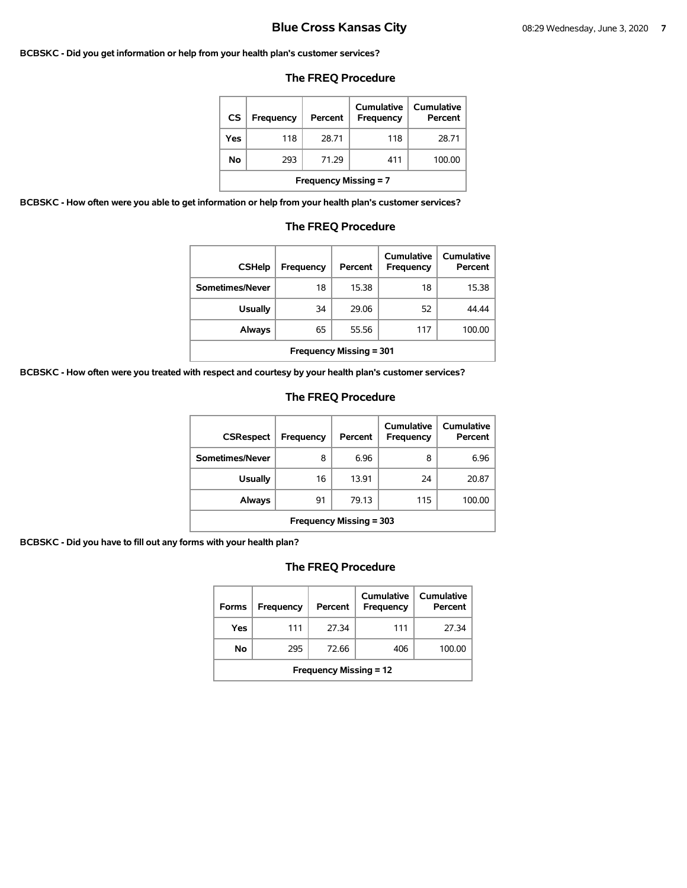### **BCBSKC - Did you get information or help from your health plan's customer services?**

# **The FREQ Procedure**

| CS                           | Frequency | Percent | Cumulative<br>Frequency | <b>Cumulative</b><br>Percent |  |
|------------------------------|-----------|---------|-------------------------|------------------------------|--|
| Yes                          | 118       | 28.71   | 118                     | 28.71                        |  |
| No                           | 293       | 71.29   | 411                     | 100.00                       |  |
| <b>Frequency Missing = 7</b> |           |         |                         |                              |  |

**BCBSKC - How often were you able to get information or help from your health plan's customer services?** 

### **The FREQ Procedure**

| <b>CSHelp</b>                  | Frequency | Percent | Cumulative<br><b>Frequency</b> | Cumulative<br>Percent |  |
|--------------------------------|-----------|---------|--------------------------------|-----------------------|--|
| Sometimes/Never                | 18        | 15.38   | 18                             | 15.38                 |  |
| <b>Usually</b>                 | 34        | 29.06   | 52                             | 44.44                 |  |
| <b>Always</b>                  | 65        | 55.56   | 117                            | 100.00                |  |
| <b>Frequency Missing = 301</b> |           |         |                                |                       |  |

**BCBSKC - How often were you treated with respect and courtesy by your health plan's customer services?** 

# **The FREQ Procedure**

| <b>CSRespect</b>               | Frequency | Percent | <b>Cumulative</b><br>Frequency | Cumulative<br>Percent |  |
|--------------------------------|-----------|---------|--------------------------------|-----------------------|--|
| Sometimes/Never                | 8         | 6.96    | 8                              | 6.96                  |  |
| <b>Usually</b>                 | 16        | 13.91   | 24                             | 20.87                 |  |
| Always                         | 91        | 79.13   | 115                            | 100.00                |  |
| <b>Frequency Missing = 303</b> |           |         |                                |                       |  |

**BCBSKC - Did you have to fill out any forms with your health plan?** 

| <b>Forms</b>                  | Frequency | Percent | Cumulative<br>Frequency | Cumulative<br>Percent |  |
|-------------------------------|-----------|---------|-------------------------|-----------------------|--|
| Yes                           | 111       | 27.34   | 111                     | 27.34                 |  |
| No                            | 295       | 72.66   | 406                     | 100.00                |  |
| <b>Frequency Missing = 12</b> |           |         |                         |                       |  |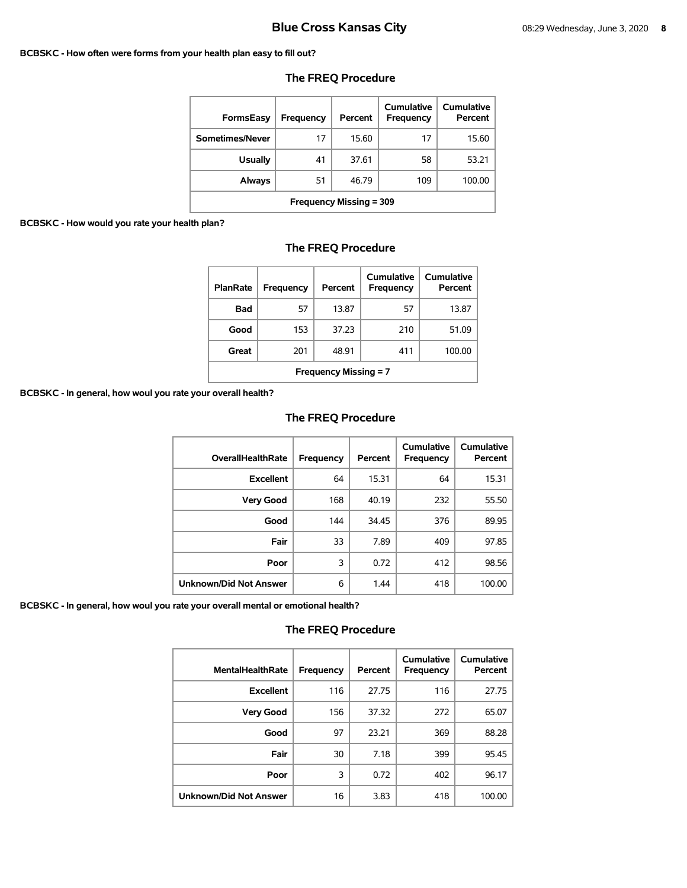### **BCBSKC - How often were forms from your health plan easy to fill out?**

| FormsEasy                      | Frequency | Percent | Cumulative<br>Frequency | <b>Cumulative</b><br>Percent |  |
|--------------------------------|-----------|---------|-------------------------|------------------------------|--|
| Sometimes/Never                | 17        | 15.60   | 17                      | 15.60                        |  |
| <b>Usually</b>                 | 41        | 37.61   | 58                      | 53.21                        |  |
| Always                         | 51        | 46.79   | 109                     | 100.00                       |  |
| <b>Frequency Missing = 309</b> |           |         |                         |                              |  |

# **The FREQ Procedure**

### **BCBSKC - How would you rate your health plan?**

| The FREQ Procedure |  |
|--------------------|--|
|--------------------|--|

| <b>PlanRate</b>              | Frequency | Percent | Cumulative<br><b>Frequency</b> | Cumulative<br>Percent |  |
|------------------------------|-----------|---------|--------------------------------|-----------------------|--|
| Bad                          | 57        | 13.87   | 57                             | 13.87                 |  |
| Good                         | 153       | 37.23   | 210                            | 51.09                 |  |
| Great                        | 201       | 48.91   | 411                            | 100.00                |  |
| <b>Frequency Missing = 7</b> |           |         |                                |                       |  |

**BCBSKC - In general, how woul you rate your overall health?** 

# **The FREQ Procedure**

| <b>OverallHealthRate</b>      | Frequency | Percent | Cumulative<br>Frequency | <b>Cumulative</b><br>Percent |
|-------------------------------|-----------|---------|-------------------------|------------------------------|
| <b>Excellent</b>              | 64        | 15.31   | 64                      | 15.31                        |
| <b>Very Good</b>              | 168       | 40.19   | 232                     | 55.50                        |
| Good                          | 144       | 34.45   | 376                     | 89.95                        |
| Fair                          | 33        | 7.89    | 409                     | 97.85                        |
| Poor                          | 3         | 0.72    | 412                     | 98.56                        |
| <b>Unknown/Did Not Answer</b> | 6         | 1.44    | 418                     | 100.00                       |

**BCBSKC - In general, how woul you rate your overall mental or emotional health?** 

| <b>MentalHealthRate</b>       | Frequency | Percent | Cumulative<br>Frequency | Cumulative<br>Percent |
|-------------------------------|-----------|---------|-------------------------|-----------------------|
| <b>Excellent</b>              | 116       | 27.75   | 116                     | 27.75                 |
| <b>Very Good</b>              | 156       | 37.32   | 272                     | 65.07                 |
| Good                          | 97        | 23.21   | 369                     | 88.28                 |
| Fair                          | 30        | 7.18    | 399                     | 95.45                 |
| Poor                          | 3         | 0.72    | 402                     | 96.17                 |
| <b>Unknown/Did Not Answer</b> | 16        | 3.83    | 418                     | 100.00                |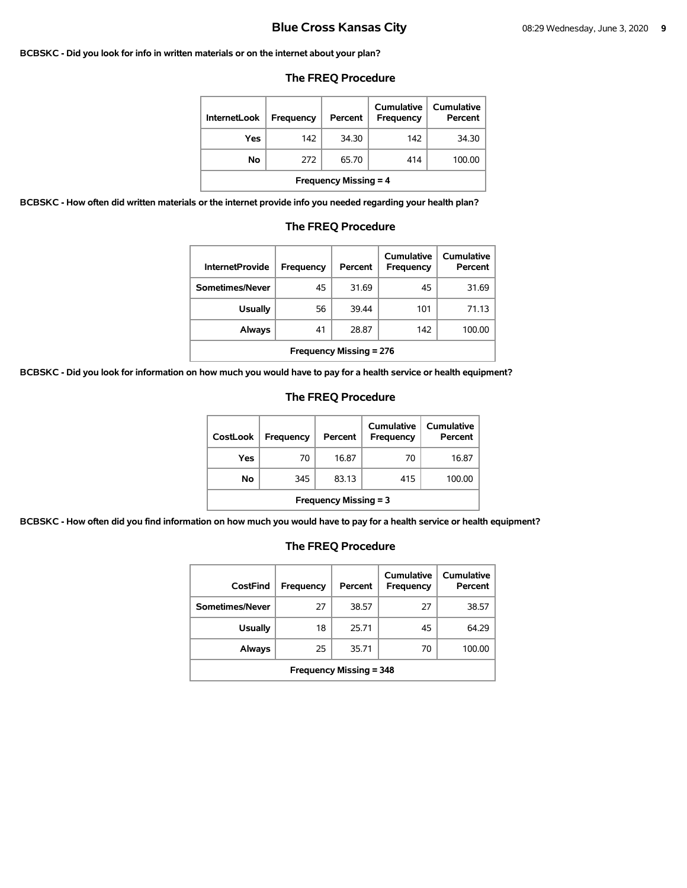### **BCBSKC - Did you look for info in written materials or on the internet about your plan?**

| <b>InternetLook</b> | Frequency | Percent | <b>Cumulative</b><br><b>Frequency</b> | Cumulative<br>Percent |
|---------------------|-----------|---------|---------------------------------------|-----------------------|
| Yes                 | 142       | 34.30   | 142                                   | 34.30                 |
| No                  | 272       | 65.70   | 414                                   | 100.00                |

### **The FREQ Procedure**

**Frequency Missing = 4** 

**BCBSKC - How often did written materials or the internet provide info you needed regarding your health plan?** 

| <b>InternetProvide</b>         | Frequency | Percent | Cumulative<br>Frequency | Cumulative<br>Percent |  |
|--------------------------------|-----------|---------|-------------------------|-----------------------|--|
| Sometimes/Never                | 45        | 31.69   | 45                      | 31.69                 |  |
| <b>Usually</b>                 | 56        | 39.44   | 101                     | 71.13                 |  |
| <b>Always</b>                  | 41        | 28.87   | 142                     | 100.00                |  |
| <b>Frequency Missing = 276</b> |           |         |                         |                       |  |

### **The FREQ Procedure**

**BCBSKC - Did you look for information on how much you would have to pay for a health service or health equipment?** 

### **The FREQ Procedure**

| <b>CostLook</b>              | Frequency | Percent | Cumulative<br>Frequency | <b>Cumulative</b><br>Percent |
|------------------------------|-----------|---------|-------------------------|------------------------------|
| Yes                          | 70        | 16.87   | 70                      | 16.87                        |
| Νo                           | 345       | 83.13   | 415                     | 100.00                       |
| <b>Frequency Missing = 3</b> |           |         |                         |                              |

**BCBSKC - How often did you find information on how much you would have to pay for a health service or health equipment?** 

| CostFind                       | Frequency | Percent | Cumulative<br>Frequency | <b>Cumulative</b><br>Percent |  |
|--------------------------------|-----------|---------|-------------------------|------------------------------|--|
| Sometimes/Never                | 27        | 38.57   | 27                      | 38.57                        |  |
| <b>Usually</b>                 | 18        | 25.71   | 45                      | 64.29                        |  |
| Always                         | 25        | 35.71   | 70                      | 100.00                       |  |
| <b>Frequency Missing = 348</b> |           |         |                         |                              |  |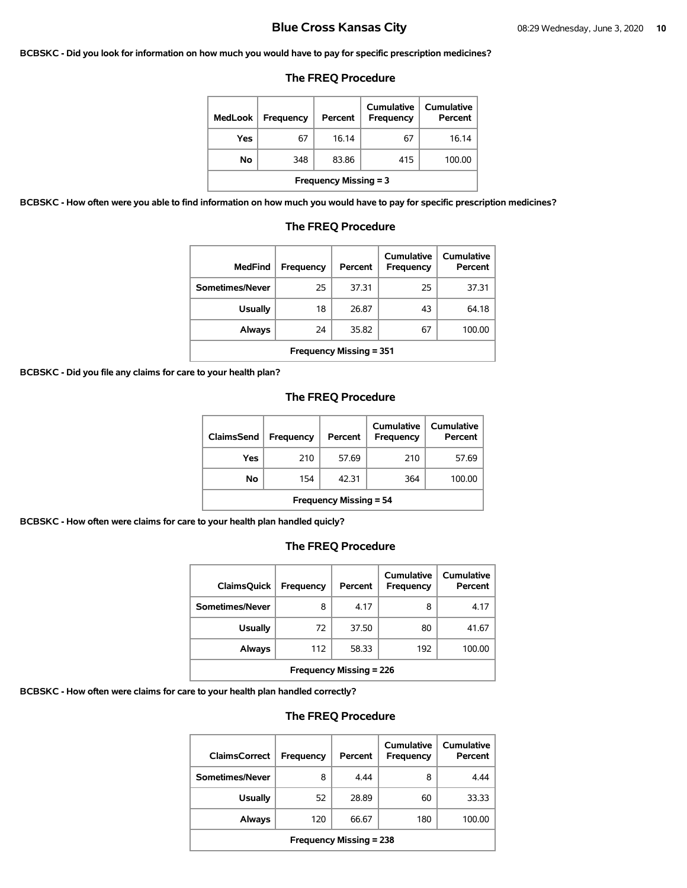### **BCBSKC - Did you look for information on how much you would have to pay for specific prescription medicines?**

### **The FREQ Procedure**

| <b>MedLook</b>               | Frequency | Percent | Cumulative<br>Frequency | Cumulative<br>Percent |
|------------------------------|-----------|---------|-------------------------|-----------------------|
| Yes                          | 67        | 16.14   | 67                      | 16.14                 |
| No                           | 348       | 83.86   | 415                     | 100.00                |
| <b>Frequency Missing = 3</b> |           |         |                         |                       |

**BCBSKC - How often were you able to find information on how much you would have to pay for specific prescription medicines?** 

| <b>MedFind</b>                 | Frequency | Percent | Cumulative<br>Frequency | Cumulative<br>Percent |  |  |
|--------------------------------|-----------|---------|-------------------------|-----------------------|--|--|
| Sometimes/Never                | 25        | 37.31   | 25                      | 37.31                 |  |  |
| <b>Usually</b>                 | 18        | 26.87   | 43                      | 64.18                 |  |  |
| <b>Always</b>                  | 24        | 35.82   | 67                      | 100.00                |  |  |
| <b>Frequency Missing = 351</b> |           |         |                         |                       |  |  |

# **The FREQ Procedure**

**BCBSKC - Did you file any claims for care to your health plan?** 

# **The FREQ Procedure**

| <b>ClaimsSend</b>             | <b>Frequency</b> | Percent | Cumulative<br><b>Frequency</b> | <b>Cumulative</b><br>Percent |  |
|-------------------------------|------------------|---------|--------------------------------|------------------------------|--|
| Yes                           | 210              | 57.69   | 210                            | 57.69                        |  |
| Νo                            | 154              | 42.31   | 364                            | 100.00                       |  |
| <b>Frequency Missing = 54</b> |                  |         |                                |                              |  |

**BCBSKC - How often were claims for care to your health plan handled quicly?** 

# **The FREQ Procedure**

| <b>ClaimsQuick</b>             | Frequency | Percent | Cumulative<br>Frequency | Cumulative<br>Percent |  |
|--------------------------------|-----------|---------|-------------------------|-----------------------|--|
| Sometimes/Never                | 8         | 4.17    | 8                       | 4.17                  |  |
| Usually                        | 72        | 37.50   | 80                      | 41.67                 |  |
| Always                         | 112       | 58.33   | 192                     | 100.00                |  |
| <b>Frequency Missing = 226</b> |           |         |                         |                       |  |

**BCBSKC - How often were claims for care to your health plan handled correctly?** 

| <b>ClaimsCorrect</b>           | <b>Frequency</b> | Percent | Cumulative<br>Frequency | Cumulative<br>Percent |  |
|--------------------------------|------------------|---------|-------------------------|-----------------------|--|
| Sometimes/Never                | 8                | 4.44    | 8                       | 4.44                  |  |
| <b>Usually</b>                 | 52               | 28.89   | 60                      | 33.33                 |  |
| Always                         | 120              | 66.67   | 180                     | 100.00                |  |
| <b>Frequency Missing = 238</b> |                  |         |                         |                       |  |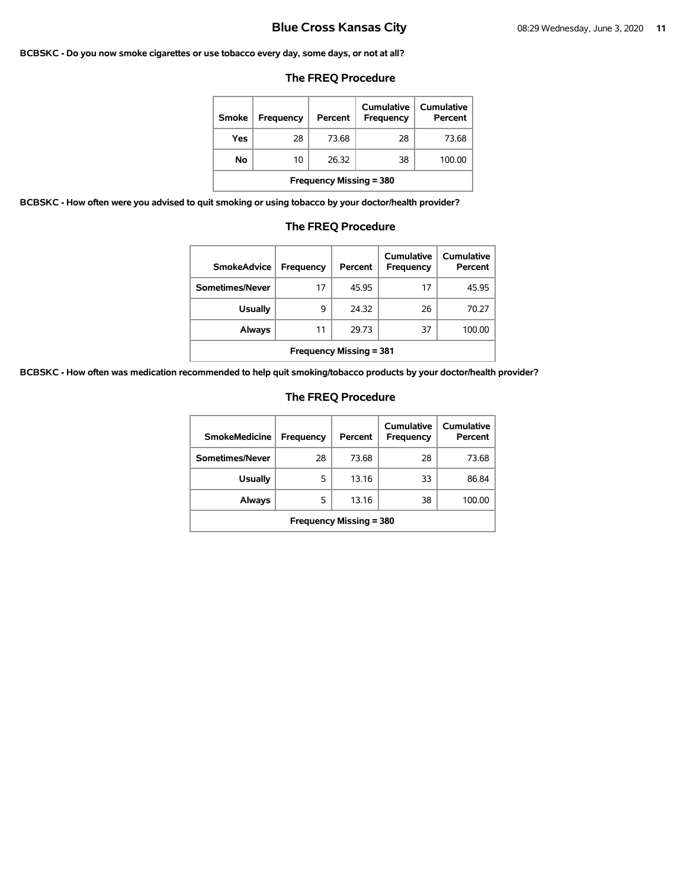### **BCBSKC - Do you now smoke cigarettes or use tobacco every day, some days, or not at all?**

# **The FREQ Procedure**

| <b>Smoke</b>                   | <b>Frequency</b> | Percent | Cumulative<br>Frequency | Cumulative<br>Percent |  |
|--------------------------------|------------------|---------|-------------------------|-----------------------|--|
| Yes                            | 28               | 73.68   | 28                      | 73.68                 |  |
| No                             | 10               | 26.32   | 38                      | 100.00                |  |
| <b>Frequency Missing = 380</b> |                  |         |                         |                       |  |

**BCBSKC - How often were you advised to quit smoking or using tobacco by your doctor/health provider?** 

# **The FREQ Procedure**

| <b>SmokeAdvice</b>             | <b>Frequency</b> | Percent | Cumulative<br><b>Frequency</b> | Cumulative<br>Percent |  |
|--------------------------------|------------------|---------|--------------------------------|-----------------------|--|
| Sometimes/Never                | 17               | 45.95   | 17                             | 45.95                 |  |
| <b>Usually</b>                 | 9                | 24.32   | 26                             | 70.27                 |  |
| <b>Always</b>                  | 11               | 29.73   | 37                             | 100.00                |  |
| <b>Frequency Missing = 381</b> |                  |         |                                |                       |  |

**BCBSKC - How often was medication recommended to help quit smoking/tobacco products by your doctor/health provider?** 

| <b>SmokeMedicine</b>           | <b>Frequency</b> | Percent | Cumulative<br>Frequency | Cumulative<br>Percent |  |
|--------------------------------|------------------|---------|-------------------------|-----------------------|--|
| Sometimes/Never                | 28               | 73.68   | 28                      | 73.68                 |  |
| <b>Usually</b>                 | 5                | 13.16   | 33                      | 86.84                 |  |
| Always                         | 5                | 13.16   | 38                      | 100.00                |  |
| <b>Frequency Missing = 380</b> |                  |         |                         |                       |  |